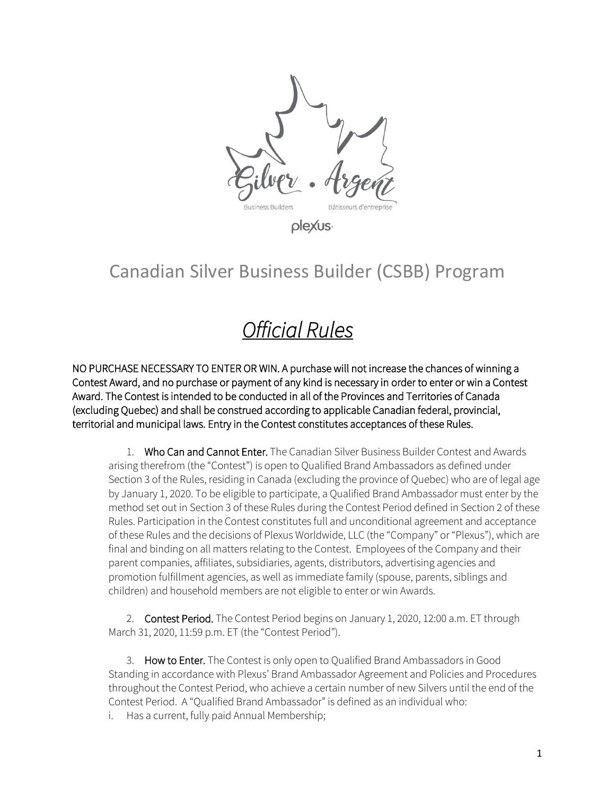

# Canadian Silver Business Builder (CSBB) Program

# *Official Rules*

NO PURCHASE NECESSARY TO ENTER OR WIN. A purchase will not increase the chances of winning a Contest Award, and no purchase or payment of any kind is necessary in order to enter or win a Contest Award. The Contest is intended to be conducted in all of the Provinces and Territories of Canada (excluding Quebec) and shall be construed according to applicable Canadian federal, provincial, territorial and municipal laws. Entry in the Contest constitutes acceptances of these Rules.

1. Who Can and Cannot Enter. The Canadian Silver Business Builder Contest and Awards arising therefrom (the "Contest") is open to Qualified Brand Ambassadors as defined under Section 3 of the Rules, residing in Canada (excluding the province of Quebec) who are of legal age by January 1, 2020. To be eligible to participate, a Qualified Brand Ambassador must enter by the method set out in Section 3 of these Rules during the Contest Period defined in Section 2 of these Rules. Participation in the Contest constitutes full and unconditional agreement and acceptance of these Rules and the decisions of Plexus Worldwide, LLC (the "Company" or "Plexus"), which are final and binding on all matters relating to the Contest. Employees of the Company and their parent companies, affiliates, subsidiaries, agents, distributors, advertising agencies and promotion fulfillment agencies, as well as immediate family (spouse, parents, siblings and children) and household members are not eligible to enter or win Awards.

2. Contest Period. The Contest Period begins on January 1, 2020, 12:00 a.m. ET through March 31, 2020, 11:59 p.m. ET (the "Contest Period").

3. How to Enter. The Contest is only open to Qualified Brand Ambassadors in Good Standing in accordance with Plexus' Brand Ambassador Agreement and Policies and Procedures throughout the Contest Period, who achieve a certain number of new Silvers until the end of the Contest Period. A "Qualified Brand Ambassador" is defined as an individual who:

i. Has a current, fully paid Annual Membership;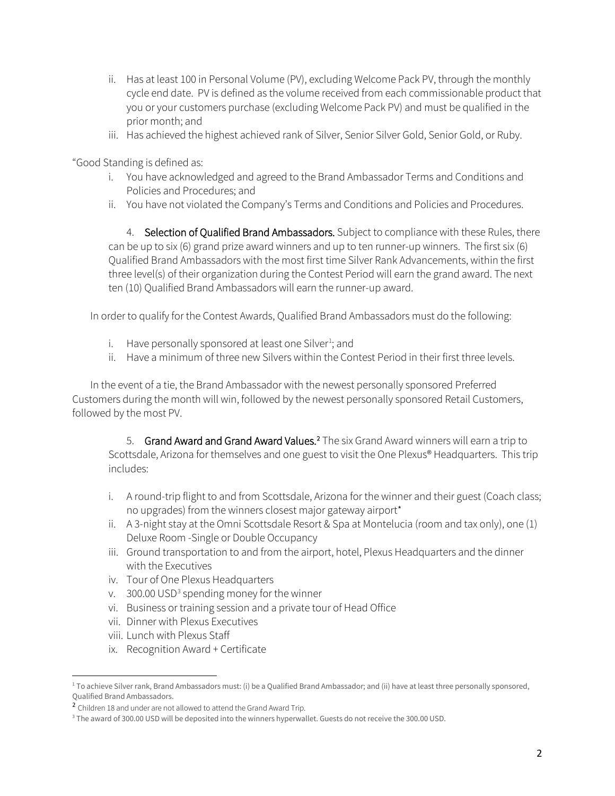- ii. Has at least 100 in Personal Volume (PV), excluding Welcome Pack PV, through the monthly cycle end date. PV is defined as the volume received from each commissionable product that you or your customers purchase (excluding Welcome Pack PV) and must be qualified in the prior month; and
- iii. Has achieved the highest achieved rank of Silver, Senior Silver Gold, Senior Gold, or Ruby.

"Good Standing is defined as:

- i. You have acknowledged and agreed to the Brand Ambassador Terms and Conditions and Policies and Procedures; and
- ii. You have not violated the Company's Terms and Conditions and Policies and Procedures.

4. Selection of Qualified Brand Ambassadors. Subject to compliance with these Rules, there can be up to six (6) grand prize award winners and up to ten runner-up winners. The first six (6) Qualified Brand Ambassadors with the most first time Silver Rank Advancements, within the first three level(s) of their organization during the Contest Period will earn the grand award. The next ten (10) Qualified Brand Ambassadors will earn the runner-up award.

In order to qualify for the Contest Awards, Qualified Brand Ambassadors must do the following:

- i. Have personally sponsored at least one Silver<sup>[1](#page-1-0)</sup>; and
- ii. Have a minimum of three new Silvers within the Contest Period in their first three levels.

In the event of a tie, the Brand Ambassador with the newest personally sponsored Preferred Customers during the month will win, followed by the newest personally sponsored Retail Customers, followed by the most PV.

5. Grand Award and Grand Award Values.<sup>[2](#page-1-1)</sup> The six Grand Award winners will earn a trip to Scottsdale, Arizona for themselves and one guest to visit the One Plexus® Headquarters. This trip includes:

- i. A round-trip flight to and from Scottsdale, Arizona for the winner and their guest (Coach class; no upgrades) from the winners closest major gateway airport\*
- ii. A 3-night stay at the Omni Scottsdale Resort & Spa at Montelucia (room and tax only), one (1) Deluxe Room -Single or Double Occupancy
- iii. Ground transportation to and from the airport, hotel, Plexus Headquarters and the dinner with the Executives
- iv. Tour of One Plexus Headquarters
- v.  $300.00$  $300.00$  USD<sup>3</sup> spending money for the winner
- vi. Business or training session and a private tour of Head Office
- vii. Dinner with Plexus Executives
- viii. Lunch with Plexus Staff
- ix. Recognition Award + Certificate

<span id="page-1-0"></span><sup>&</sup>lt;sup>1</sup> To achieve Silver rank, Brand Ambassadors must: (i) be a Qualified Brand Ambassador; and (ii) have at least three personally sponsored, Qualified Brand Ambassadors.

<span id="page-1-1"></span><sup>2</sup> Children 18 and under are not allowed to attend the Grand Award Trip.

<span id="page-1-2"></span><sup>&</sup>lt;sup>3</sup> The award of 300.00 USD will be deposited into the winners hyperwallet. Guests do not receive the 300.00 USD.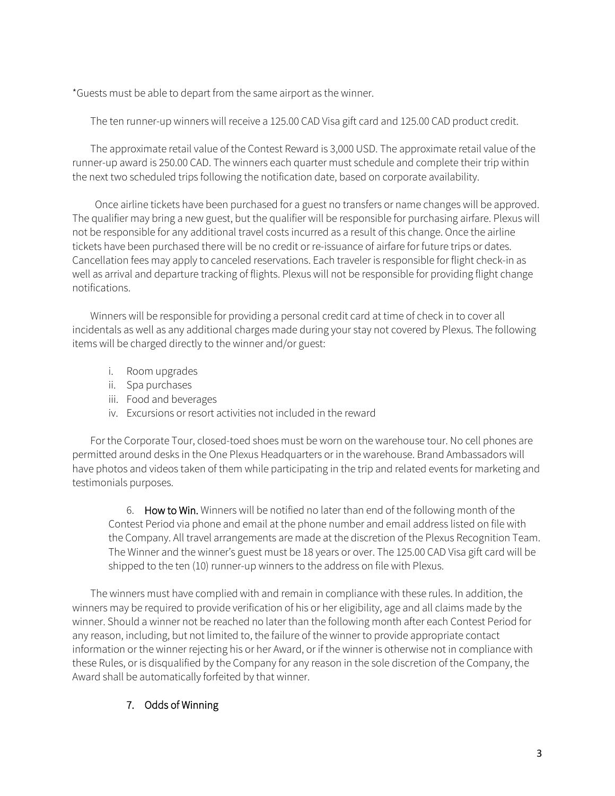\*Guests must be able to depart from the same airport as the winner.

The ten runner-up winners will receive a 125.00 CAD Visa gift card and 125.00 CAD product credit.

The approximate retail value of the Contest Reward is 3,000 USD. The approximate retail value of the runner-up award is 250.00 CAD. The winners each quarter must schedule and complete their trip within the next two scheduled trips following the notification date, based on corporate availability.

Once airline tickets have been purchased for a guest no transfers or name changes will be approved. The qualifier may bring a new guest, but the qualifier will be responsible for purchasing airfare. Plexus will not be responsible for any additional travel costs incurred as a result of this change. Once the airline tickets have been purchased there will be no credit or re-issuance of airfare for future trips or dates. Cancellation fees may apply to canceled reservations. Each traveler is responsible for flight check-in as well as arrival and departure tracking of flights. Plexus will not be responsible for providing flight change notifications.

Winners will be responsible for providing a personal credit card at time of check in to cover all incidentals as well as any additional charges made during your stay not covered by Plexus. The following items will be charged directly to the winner and/or guest:

- i. Room upgrades
- ii. Spa purchases
- iii. Food and beverages
- iv. Excursions or resort activities not included in the reward

For the Corporate Tour, closed-toed shoes must be worn on the warehouse tour. No cell phones are permitted around desks in the One Plexus Headquarters or in the warehouse. Brand Ambassadors will have photos and videos taken of them while participating in the trip and related events for marketing and testimonials purposes.

6. How to Win. Winners will be notified no later than end of the following month of the Contest Period via phone and email at the phone number and email address listed on file with the Company. All travel arrangements are made at the discretion of the Plexus Recognition Team. The Winner and the winner's guest must be 18 years or over. The 125.00 CAD Visa gift card will be shipped to the ten (10) runner-up winners to the address on file with Plexus.

The winners must have complied with and remain in compliance with these rules. In addition, the winners may be required to provide verification of his or her eligibility, age and all claims made by the winner. Should a winner not be reached no later than the following month after each Contest Period for any reason, including, but not limited to, the failure of the winner to provide appropriate contact information or the winner rejecting his or her Award, or if the winner is otherwise not in compliance with these Rules, or is disqualified by the Company for any reason in the sole discretion of the Company, the Award shall be automatically forfeited by that winner.

## 7. Odds of Winning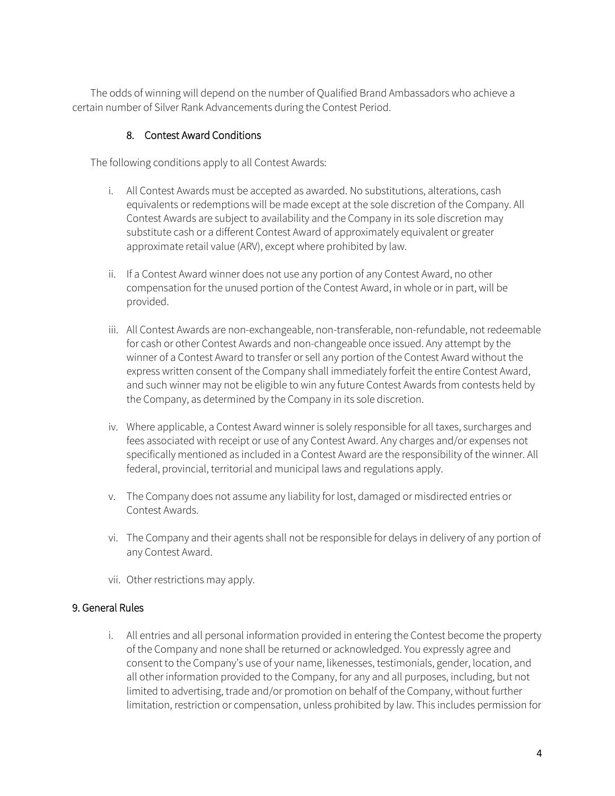The odds of winning will depend on the number of Qualified Brand Ambassadors who achieve a certain number of Silver Rank Advancements during the Contest Period.

#### 8. Contest Award Conditions

The following conditions apply to all Contest Awards:

- i. All Contest Awards must be accepted as awarded. No substitutions, alterations, cash equivalents or redemptions will be made except at the sole discretion of the Company. All Contest Awards are subject to availability and the Company in its sole discretion may substitute cash or a different Contest Award of approximately equivalent or greater approximate retail value (ARV), except where prohibited by law.
- ii. If a Contest Award winner does not use any portion of any Contest Award, no other compensation for the unused portion of the Contest Award, in whole or in part, will be provided.
- iii. All Contest Awards are non-exchangeable, non-transferable, non-refundable, not redeemable for cash or other Contest Awards and non-changeable once issued. Any attempt by the winner of a Contest Award to transfer or sell any portion of the Contest Award without the express written consent of the Company shall immediately forfeit the entire Contest Award, and such winner may not be eligible to win any future Contest Awards from contests held by the Company, as determined by the Company in its sole discretion.
- iv. Where applicable, a Contest Award winner is solely responsible for all taxes, surcharges and fees associated with receipt or use of any Contest Award. Any charges and/or expenses not specifically mentioned as included in a Contest Award are the responsibility of the winner. All federal, provincial, territorial and municipal laws and regulations apply.
- v. The Company does not assume any liability for lost, damaged or misdirected entries or Contest Awards.
- vi. The Company and their agents shall not be responsible for delays in delivery of any portion of any Contest Award.
- vii. Other restrictions may apply.

### 9. General Rules

i. All entries and all personal information provided in entering the Contest become the property of the Company and none shall be returned or acknowledged. You expressly agree and consent to the Company's use of your name, likenesses, testimonials, gender, location, and all other information provided to the Company, for any and all purposes, including, but not limited to advertising, trade and/or promotion on behalf of the Company, without further limitation, restriction or compensation, unless prohibited by law. This includes permission for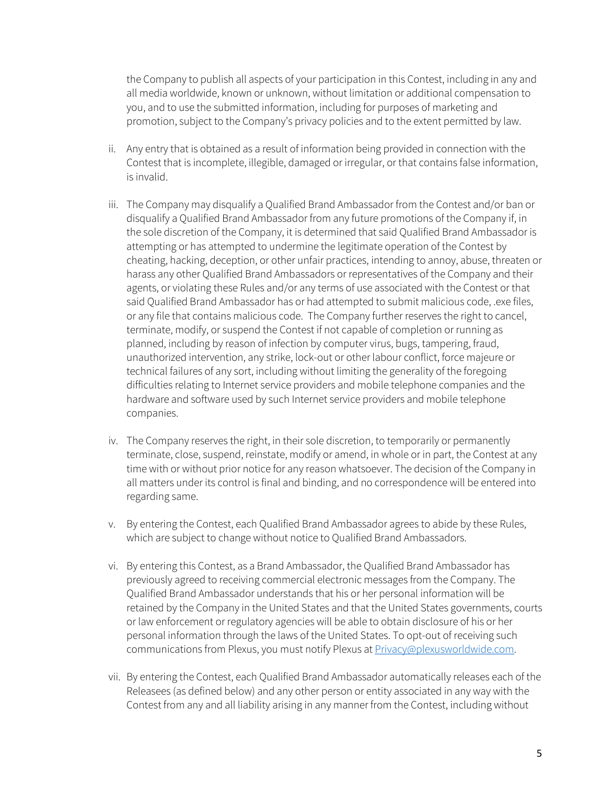the Company to publish all aspects of your participation in this Contest, including in any and all media worldwide, known or unknown, without limitation or additional compensation to you, and to use the submitted information, including for purposes of marketing and promotion, subject to the Company's privacy policies and to the extent permitted by law.

- ii. Any entry that is obtained as a result of information being provided in connection with the Contest that is incomplete, illegible, damaged or irregular, or that contains false information, is invalid.
- iii. The Company may disqualify a Qualified Brand Ambassador from the Contest and/or ban or disqualify a Qualified Brand Ambassador from any future promotions of the Company if, in the sole discretion of the Company, it is determined that said Qualified Brand Ambassador is attempting or has attempted to undermine the legitimate operation of the Contest by cheating, hacking, deception, or other unfair practices, intending to annoy, abuse, threaten or harass any other Qualified Brand Ambassadors or representatives of the Company and their agents, or violating these Rules and/or any terms of use associated with the Contest or that said Qualified Brand Ambassador has or had attempted to submit malicious code, .exe files, or any file that contains malicious code. The Company further reserves the right to cancel, terminate, modify, or suspend the Contest if not capable of completion or running as planned, including by reason of infection by computer virus, bugs, tampering, fraud, unauthorized intervention, any strike, lock-out or other labour conflict, force majeure or technical failures of any sort, including without limiting the generality of the foregoing difficulties relating to Internet service providers and mobile telephone companies and the hardware and software used by such Internet service providers and mobile telephone companies.
- iv. The Company reserves the right, in their sole discretion, to temporarily or permanently terminate, close, suspend, reinstate, modify or amend, in whole or in part, the Contest at any time with or without prior notice for any reason whatsoever. The decision of the Company in all matters under its control is final and binding, and no correspondence will be entered into regarding same.
- v. By entering the Contest, each Qualified Brand Ambassador agrees to abide by these Rules, which are subject to change without notice to Qualified Brand Ambassadors.
- vi. By entering this Contest, as a Brand Ambassador, the Qualified Brand Ambassador has previously agreed to receiving commercial electronic messages from the Company. The Qualified Brand Ambassador understands that his or her personal information will be retained by the Company in the United States and that the United States governments, courts or law enforcement or regulatory agencies will be able to obtain disclosure of his or her personal information through the laws of the United States. To opt-out of receiving such communications from Plexus, you must notify Plexus at **Privacy@plexusworldwide.com**.
- vii. By entering the Contest, each Qualified Brand Ambassador automatically releases each of the Releasees (as defined below) and any other person or entity associated in any way with the Contest from any and all liability arising in any manner from the Contest, including without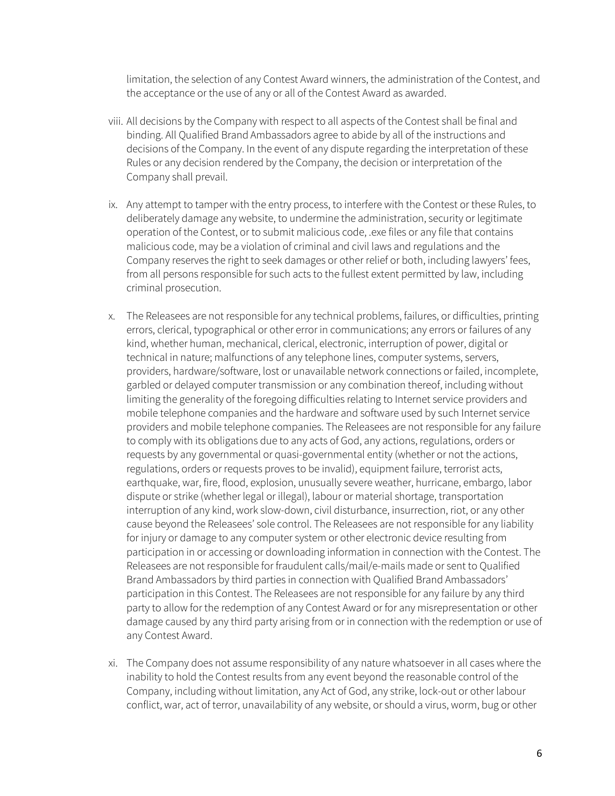limitation, the selection of any Contest Award winners, the administration of the Contest, and the acceptance or the use of any or all of the Contest Award as awarded.

- viii. All decisions by the Company with respect to all aspects of the Contest shall be final and binding. All Qualified Brand Ambassadors agree to abide by all of the instructions and decisions of the Company. In the event of any dispute regarding the interpretation of these Rules or any decision rendered by the Company, the decision or interpretation of the Company shall prevail.
- ix. Any attempt to tamper with the entry process, to interfere with the Contest or these Rules, to deliberately damage any website, to undermine the administration, security or legitimate operation of the Contest, or to submit malicious code, .exe files or any file that contains malicious code, may be a violation of criminal and civil laws and regulations and the Company reserves the right to seek damages or other relief or both, including lawyers' fees, from all persons responsible for such acts to the fullest extent permitted by law, including criminal prosecution.
- x. The Releasees are not responsible for any technical problems, failures, or difficulties, printing errors, clerical, typographical or other error in communications; any errors or failures of any kind, whether human, mechanical, clerical, electronic, interruption of power, digital or technical in nature; malfunctions of any telephone lines, computer systems, servers, providers, hardware/software, lost or unavailable network connections or failed, incomplete, garbled or delayed computer transmission or any combination thereof, including without limiting the generality of the foregoing difficulties relating to Internet service providers and mobile telephone companies and the hardware and software used by such Internet service providers and mobile telephone companies. The Releasees are not responsible for any failure to comply with its obligations due to any acts of God, any actions, regulations, orders or requests by any governmental or quasi-governmental entity (whether or not the actions, regulations, orders or requests proves to be invalid), equipment failure, terrorist acts, earthquake, war, fire, flood, explosion, unusually severe weather, hurricane, embargo, labor dispute or strike (whether legal or illegal), labour or material shortage, transportation interruption of any kind, work slow-down, civil disturbance, insurrection, riot, or any other cause beyond the Releasees' sole control. The Releasees are not responsible for any liability for injury or damage to any computer system or other electronic device resulting from participation in or accessing or downloading information in connection with the Contest. The Releasees are not responsible for fraudulent calls/mail/e-mails made or sent to Qualified Brand Ambassadors by third parties in connection with Qualified Brand Ambassadors' participation in this Contest. The Releasees are not responsible for any failure by any third party to allow for the redemption of any Contest Award or for any misrepresentation or other damage caused by any third party arising from or in connection with the redemption or use of any Contest Award.
- xi. The Company does not assume responsibility of any nature whatsoever in all cases where the inability to hold the Contest results from any event beyond the reasonable control of the Company, including without limitation, any Act of God, any strike, lock-out or other labour conflict, war, act of terror, unavailability of any website, or should a virus, worm, bug or other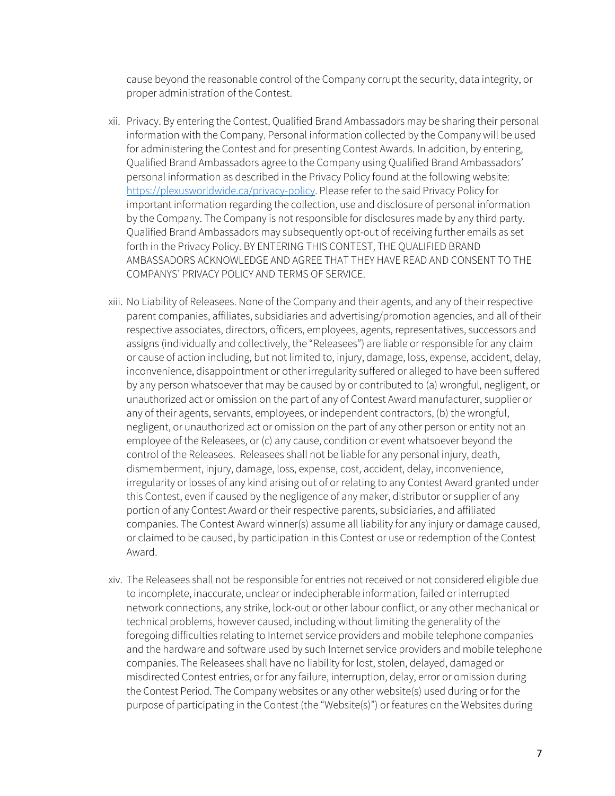cause beyond the reasonable control of the Company corrupt the security, data integrity, or proper administration of the Contest.

- xii. Privacy. By entering the Contest, Qualified Brand Ambassadors may be sharing their personal information with the Company. Personal information collected by the Company will be used for administering the Contest and for presenting Contest Awards. In addition, by entering, Qualified Brand Ambassadors agree to the Company using Qualified Brand Ambassadors' personal information as described in the Privacy Policy found at the following website: [https://plexusworldwide.ca/privacy-policy.](https://plexusworldwide.ca/privacy-policy) Please refer to the said Privacy Policy for important information regarding the collection, use and disclosure of personal information by the Company. The Company is not responsible for disclosures made by any third party. Qualified Brand Ambassadors may subsequently opt-out of receiving further emails as set forth in the Privacy Policy. BY ENTERING THIS CONTEST, THE QUALIFIED BRAND AMBASSADORS ACKNOWLEDGE AND AGREE THAT THEY HAVE READ AND CONSENT TO THE COMPANYS' PRIVACY POLICY AND TERMS OF SERVICE.
- xiii. No Liability of Releasees. None of the Company and their agents, and any of their respective parent companies, affiliates, subsidiaries and advertising/promotion agencies, and all of their respective associates, directors, officers, employees, agents, representatives, successors and assigns (individually and collectively, the "Releasees") are liable or responsible for any claim or cause of action including, but not limited to, injury, damage, loss, expense, accident, delay, inconvenience, disappointment or other irregularity suffered or alleged to have been suffered by any person whatsoever that may be caused by or contributed to (a) wrongful, negligent, or unauthorized act or omission on the part of any of Contest Award manufacturer, supplier or any of their agents, servants, employees, or independent contractors, (b) the wrongful, negligent, or unauthorized act or omission on the part of any other person or entity not an employee of the Releasees, or (c) any cause, condition or event whatsoever beyond the control of the Releasees. Releasees shall not be liable for any personal injury, death, dismemberment, injury, damage, loss, expense, cost, accident, delay, inconvenience, irregularity or losses of any kind arising out of or relating to any Contest Award granted under this Contest, even if caused by the negligence of any maker, distributor or supplier of any portion of any Contest Award or their respective parents, subsidiaries, and affiliated companies. The Contest Award winner(s) assume all liability for any injury or damage caused, or claimed to be caused, by participation in this Contest or use or redemption of the Contest Award.
- xiv. The Releasees shall not be responsible for entries not received or not considered eligible due to incomplete, inaccurate, unclear or indecipherable information, failed or interrupted network connections, any strike, lock-out or other labour conflict, or any other mechanical or technical problems, however caused, including without limiting the generality of the foregoing difficulties relating to Internet service providers and mobile telephone companies and the hardware and software used by such Internet service providers and mobile telephone companies. The Releasees shall have no liability for lost, stolen, delayed, damaged or misdirected Contest entries, or for any failure, interruption, delay, error or omission during the Contest Period. The Company websites or any other website(s) used during or for the purpose of participating in the Contest (the "Website(s)") or features on the Websites during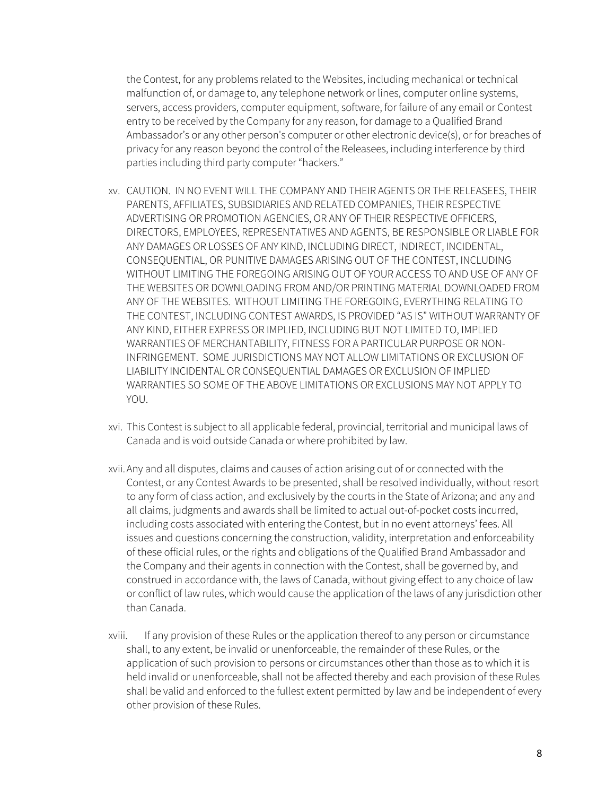the Contest, for any problems related to the Websites, including mechanical or technical malfunction of, or damage to, any telephone network or lines, computer online systems, servers, access providers, computer equipment, software, for failure of any email or Contest entry to be received by the Company for any reason, for damage to a Qualified Brand Ambassador's or any other person's computer or other electronic device(s), or for breaches of privacy for any reason beyond the control of the Releasees, including interference by third parties including third party computer "hackers."

- xv. CAUTION. IN NO EVENT WILL THE COMPANY AND THEIR AGENTS OR THE RELEASEES, THEIR PARENTS, AFFILIATES, SUBSIDIARIES AND RELATED COMPANIES, THEIR RESPECTIVE ADVERTISING OR PROMOTION AGENCIES, OR ANY OF THEIR RESPECTIVE OFFICERS, DIRECTORS, EMPLOYEES, REPRESENTATIVES AND AGENTS, BE RESPONSIBLE OR LIABLE FOR ANY DAMAGES OR LOSSES OF ANY KIND, INCLUDING DIRECT, INDIRECT, INCIDENTAL, CONSEQUENTIAL, OR PUNITIVE DAMAGES ARISING OUT OF THE CONTEST, INCLUDING WITHOUT LIMITING THE FOREGOING ARISING OUT OF YOUR ACCESS TO AND USE OF ANY OF THE WEBSITES OR DOWNLOADING FROM AND/OR PRINTING MATERIAL DOWNLOADED FROM ANY OF THE WEBSITES. WITHOUT LIMITING THE FOREGOING, EVERYTHING RELATING TO THE CONTEST, INCLUDING CONTEST AWARDS, IS PROVIDED "AS IS" WITHOUT WARRANTY OF ANY KIND, EITHER EXPRESS OR IMPLIED, INCLUDING BUT NOT LIMITED TO, IMPLIED WARRANTIES OF MERCHANTABILITY, FITNESS FOR A PARTICULAR PURPOSE OR NON-INFRINGEMENT. SOME JURISDICTIONS MAY NOT ALLOW LIMITATIONS OR EXCLUSION OF LIABILITY INCIDENTAL OR CONSEQUENTIAL DAMAGES OR EXCLUSION OF IMPLIED WARRANTIES SO SOME OF THE ABOVE LIMITATIONS OR EXCLUSIONS MAY NOT APPLY TO YOU.
- xvi. This Contest is subject to all applicable federal, provincial, territorial and municipal laws of Canada and is void outside Canada or where prohibited by law.
- xvii.Any and all disputes, claims and causes of action arising out of or connected with the Contest, or any Contest Awards to be presented, shall be resolved individually, without resort to any form of class action, and exclusively by the courts in the State of Arizona; and any and all claims, judgments and awards shall be limited to actual out-of-pocket costs incurred, including costs associated with entering the Contest, but in no event attorneys' fees. All issues and questions concerning the construction, validity, interpretation and enforceability of these official rules, or the rights and obligations of the Qualified Brand Ambassador and the Company and their agents in connection with the Contest, shall be governed by, and construed in accordance with, the laws of Canada, without giving effect to any choice of law or conflict of law rules, which would cause the application of the laws of any jurisdiction other than Canada.
- xviii. If any provision of these Rules or the application thereof to any person or circumstance shall, to any extent, be invalid or unenforceable, the remainder of these Rules, or the application of such provision to persons or circumstances other than those as to which it is held invalid or unenforceable, shall not be affected thereby and each provision of these Rules shall be valid and enforced to the fullest extent permitted by law and be independent of every other provision of these Rules.